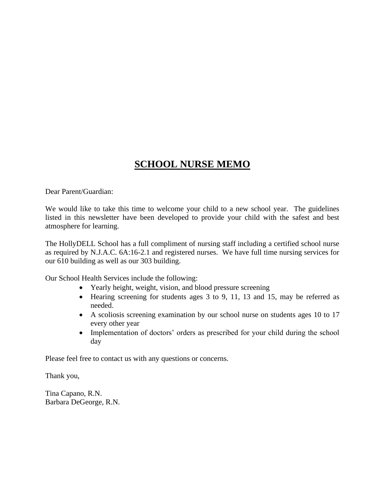# **SCHOOL NURSE MEMO**

Dear Parent/Guardian:

We would like to take this time to welcome your child to a new school year. The guidelines listed in this newsletter have been developed to provide your child with the safest and best atmosphere for learning.

The HollyDELL School has a full compliment of nursing staff including a certified school nurse as required by N.J.A.C. 6A:16-2.1 and registered nurses. We have full time nursing services for our 610 building as well as our 303 building.

Our School Health Services include the following:

- Yearly height, weight, vision, and blood pressure screening
- Hearing screening for students ages 3 to 9, 11, 13 and 15, may be referred as needed.
- A scoliosis screening examination by our school nurse on students ages 10 to 17 every other year
- Implementation of doctors' orders as prescribed for your child during the school day

Please feel free to contact us with any questions or concerns.

Thank you,

Tina Capano, R.N. Barbara DeGeorge, R.N.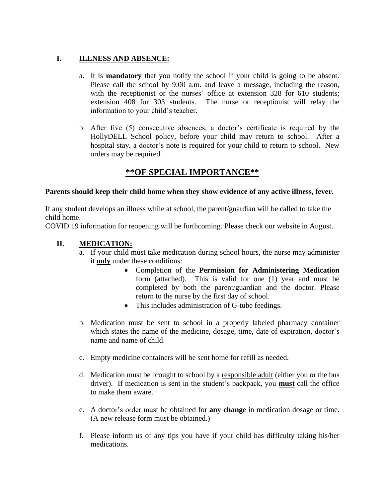### **I. ILLNESS AND ABSENCE:**

- a. It is **mandatory** that you notify the school if your child is going to be absent. Please call the school by 9:00 a.m. and leave a message, including the reason, with the receptionist or the nurses' office at extension 328 for 610 students; extension 408 for 303 students. The nurse or receptionist will relay the information to your child's teacher.
- b. After five (5) consecutive absences, a doctor's certificate is required by the HollyDELL School policy, before your child may return to school. After a hospital stay, a doctor's note is required for your child to return to school. New orders may be required.

# **\*\*OF SPECIAL IMPORTANCE\*\***

#### **Parents should keep their child home when they show evidence of any active illness, fever.**

If any student develops an illness while at school, the parent/guardian will be called to take the child home.

COVID 19 information for reopening will be forthcoming. Please check our website in August.

#### **II. MEDICATION:**

- a. If your child must take medication during school hours, the nurse may administer it **only** under these conditions:
	- Completion of the **Permission for Administering Medication**  form (attached). This is valid for one (1) year and must be completed by both the parent/guardian and the doctor. Please return to the nurse by the first day of school.
	- This includes administration of G-tube feedings.
- b. Medication must be sent to school in a properly labeled pharmacy container which states the name of the medicine, dosage, time, date of expiration, doctor's name and name of child.
- c. Empty medicine containers will be sent home for refill as needed.
- d. Medication must be brought to school by a responsible adult (either you or the bus driver). If medication is sent in the student's backpack, you **must** call the office to make them aware.
- e. A doctor's order must be obtained for **any change** in medication dosage or time. (A new release form must be obtained.)
- f. Please inform us of any tips you have if your child has difficulty taking his/her medications.